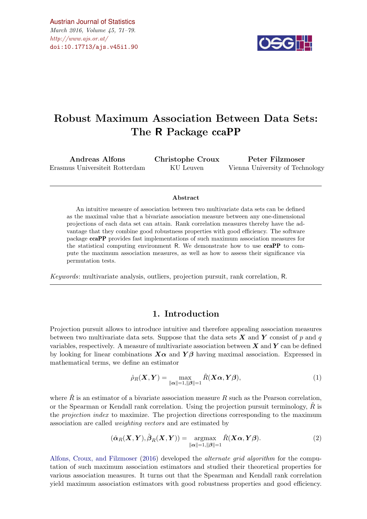$\#http://www.ajs.or.at/$  $\#http://www.ajs.or.at/$ [Austrian Journal of Statistics](http://www.ajs.or.at) March 2016, Volume 45, 71–79. [doi:10.17713/ajs.v45i1.90](http://dx.doi.org/10.17713/ajs.v45i1.90)



# Robust Maximum Association Between Data Sets: The R Package ccaPP

Andreas Alfons Erasmus Universiteit Rotterdam

Christophe Croux KU Leuven

Peter Filzmoser Vienna University of Technology

#### Abstract

An intuitive measure of association between two multivariate data sets can be defined as the maximal value that a bivariate association measure between any one-dimensional projections of each data set can attain. Rank correlation measures thereby have the advantage that they combine good robustness properties with good efficiency. The software package ccaPP provides fast implementations of such maximum association measures for the statistical computing environment R. We demonstrate how to use ccaPP to compute the maximum association measures, as well as how to assess their significance via permutation tests.

Keywords: multivariate analysis, outliers, projection pursuit, rank correlation, R.

## 1. Introduction

Projection pursuit allows to introduce intuitive and therefore appealing association measures between two multivariate data sets. Suppose that the data sets  $\boldsymbol{X}$  and  $\boldsymbol{Y}$  consist of p and q variables, respectively. A measure of multivariate association between  $X$  and  $Y$  can be defined by looking for linear combinations  $X\alpha$  and  $Y\beta$  having maximal association. Expressed in mathematical terms, we define an estimator

$$
\hat{\rho}_R(\boldsymbol{X}, \boldsymbol{Y}) = \max_{\|\boldsymbol{\alpha}\|=1, \|\boldsymbol{\beta}\|=1} \hat{R}(\boldsymbol{X}\boldsymbol{\alpha}, \boldsymbol{Y}\boldsymbol{\beta}),
$$
\n(1)

where  $\hat{R}$  is an estimator of a bivariate association measure R such as the Pearson correlation, or the Spearman or Kendall rank correlation. Using the projection pursuit terminology,  $R$  is the projection index to maximize. The projection directions corresponding to the maximum association are called weighting vectors and are estimated by

$$
(\hat{\boldsymbol{\alpha}}_R(\boldsymbol{X}, \boldsymbol{Y}), \hat{\boldsymbol{\beta}}_R(\boldsymbol{X}, \boldsymbol{Y})) = \underset{\|\boldsymbol{\alpha}\|=1, \|\boldsymbol{\beta}\|=1}{\operatorname{argmax}} \hat{R}(\boldsymbol{X}\boldsymbol{\alpha}, \boldsymbol{Y}\boldsymbol{\beta}).
$$
\n(2)

[Alfons, Croux, and Filzmoser](#page-7-0) [\(2016\)](#page-7-0) developed the alternate grid algorithm for the computation of such maximum association estimators and studied their theoretical properties for various association measures. It turns out that the Spearman and Kendall rank correlation yield maximum association estimators with good robustness properties and good efficiency.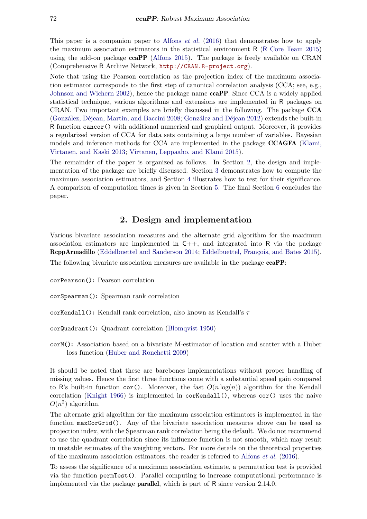This paper is a companion paper to [Alfons](#page-7-0) *et al.* [\(2016\)](#page-7-0) that demonstrates how to apply the maximum association estimators in the statistical environment R (R [Core Team](#page-8-0) [2015\)](#page-8-0) using the add-on package ccaPP [\(Alfons](#page-7-1) [2015\)](#page-7-1). The package is freely available on CRAN (Comprehensive R Archive Network, <http://CRAN.R-project.org>).

Note that using the Pearson correlation as the projection index of the maximum association estimator corresponds to the first step of canonical correlation analysis (CCA; see, e.g., [Johnson and Wichern](#page-8-1) [2002\)](#page-8-1), hence the package name **ccaPP**. Since CCA is a widely applied statistical technique, various algorithms and extensions are implemented in R packages on CRAN. Two important examples are briefly discussed in the following. The package CCA (González, Déjean, Martin, and Baccini [2008;](#page-8-2) González and Déjean [2012\)](#page-8-3) extends the built-in R function cancor() with additional numerical and graphical output. Moreover, it provides a regularized version of CCA for data sets containing a large number of variables. Bayesian models and inference methods for CCA are implemented in the package CCAGFA [\(Klami,](#page-8-4) [Virtanen, and Kaski](#page-8-4) [2013;](#page-8-4) [Virtanen, Leppaaho, and Klami](#page-8-5) [2015\)](#page-8-5).

The remainder of the paper is organized as follows. In Section [2,](#page-1-0) the design and implementation of the package are briefly discussed. Section [3](#page-2-0) demonstrates how to compute the maximum association estimators, and Section [4](#page-3-0) illustrates how to test for their significance. A comparison of computation times is given in Section [5.](#page-5-0) The final Section [6](#page-7-2) concludes the paper.

# 2. Design and implementation

<span id="page-1-0"></span>Various bivariate association measures and the alternate grid algorithm for the maximum association estimators are implemented in  $C_{++}$ , and integrated into R via the package RcppArmadillo [\(Eddelbuettel and Sanderson](#page-8-6) [2014;](#page-8-6) Eddelbuettel, François, and Bates [2015\)](#page-8-7).

The following bivariate association measures are available in the package **ccaPP**:

corPearson(): Pearson correlation

corSpearman(): Spearman rank correlation

corKendall(): Kendall rank correlation, also known as Kendall's  $\tau$ 

- corQuadrant(): Quadrant correlation [\(Blomqvist](#page-7-3) [1950\)](#page-7-3)
- corM(): Association based on a bivariate M-estimator of location and scatter with a Huber loss function [\(Huber and Ronchetti](#page-8-8) [2009\)](#page-8-8)

It should be noted that these are barebones implementations without proper handling of missing values. Hence the first three functions come with a substantial speed gain compared to R's built-in function cor(). Moreover, the fast  $O(n \log(n))$  algorithm for the Kendall correlation [\(Knight](#page-8-9) [1966\)](#page-8-9) is implemented in corKendall(), whereas cor() uses the naive  $O(n^2)$  algorithm.

The alternate grid algorithm for the maximum association estimators is implemented in the function maxCorGrid(). Any of the bivariate association measures above can be used as projection index, with the Spearman rank correlation being the default. We do not recommend to use the quadrant correlation since its influence function is not smooth, which may result in unstable estimates of the weighting vectors. For more details on the theoretical properties of the maximum association estimators, the reader is referred to [Alfons](#page-7-0) *et al.* [\(2016\)](#page-7-0).

To assess the significance of a maximum association estimate, a permutation test is provided via the function permTest(). Parallel computing to increase computational performance is implemented via the package parallel, which is part of R since version 2.14.0.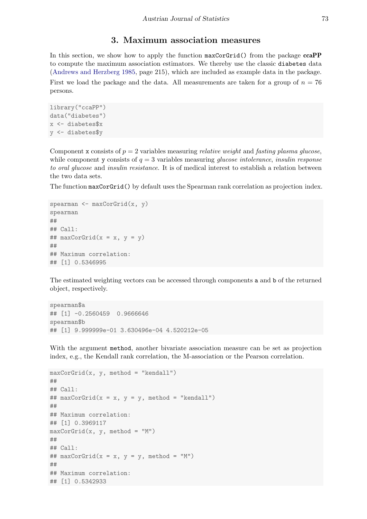#### 3. Maximum association measures

<span id="page-2-0"></span>In this section, we show how to apply the function maxCorGrid() from the package  $ccaPP$ to compute the maximum association estimators. We thereby use the classic diabetes data [\(Andrews and Herzberg](#page-7-4) [1985,](#page-7-4) page 215), which are included as example data in the package. First we load the package and the data. All measurements are taken for a group of  $n = 76$ persons.

```
library("ccaPP")
data("diabetes")
x <- diabetes$x
y <- diabetes$y
```
Component x consists of  $p = 2$  variables measuring *relative weight* and *fasting plasma glucose*, while component y consists of  $q = 3$  variables measuring *glucose intolerance*, *insulin response* to oral glucose and insulin resistance. It is of medical interest to establish a relation between the two data sets.

The function maxCorGrid() by default uses the Spearman rank correlation as projection index.

```
spearman <- maxCorGrid(x, y)
spearman
##
## Call:
## maxCorGrid(x = x, y = y)##
## Maximum correlation:
## [1] 0.5346995
```
The estimated weighting vectors can be accessed through components a and b of the returned object, respectively.

```
spearman$a
## [1] -0.2560459 0.9666646
spearman$b
## [1] 9.999999e-01 3.630496e-04 4.520212e-05
```
With the argument method, another bivariate association measure can be set as projection index, e.g., the Kendall rank correlation, the M-association or the Pearson correlation.

```
maxCorGrid(x, y, method = "kendall")##
## Call:
## maxCorGrid(x = x, y = y, method = "kendall")
##
## Maximum correlation:
## [1] 0.3969117
maxCorGrid(x, y, method = "M")##
## Call:
## maxCorGrid(x = x, y = y, method = "M")##
## Maximum correlation:
## [1] 0.5342933
```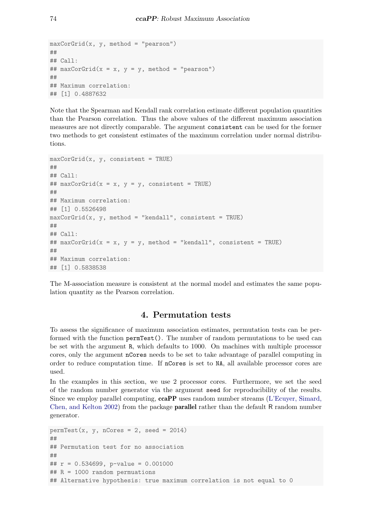```
maxCorGrid(x, y, method = "pearson")##
## Call:
## maxCorGrid(x = x, y = y, method = "pearson")
##
## Maximum correlation:
## [1] 0.4887632
```
Note that the Spearman and Kendall rank correlation estimate different population quantities than the Pearson correlation. Thus the above values of the different maximum association measures are not directly comparable. The argument consistent can be used for the former two methods to get consistent estimates of the maximum correlation under normal distributions.

```
maxCorGrid(x, y, consistent = TRUE)##
## Call:
## maxCorGrid(x = x, y = y, consistent = TRUE)##
## Maximum correlation:
## [1] 0.5526498
maxCorGrid(x, y, method = "kendall", consistent = TRUE)##
## Call:
## maxCorGrid(x = x, y = y, method = "kendall", consistent = TRUE)##
## Maximum correlation:
## [1] 0.5838538
```
The M-association measure is consistent at the normal model and estimates the same population quantity as the Pearson correlation.

# 4. Permutation tests

<span id="page-3-0"></span>To assess the significance of maximum association estimates, permutation tests can be performed with the function permTest(). The number of random permutations to be used can be set with the argument R, which defaults to 1000. On machines with multiple processor cores, only the argument nCores needs to be set to take advantage of parallel computing in order to reduce computation time. If nCores is set to NA, all available processor cores are used.

In the examples in this section, we use 2 processor cores. Furthermore, we set the seed of the random number generator via the argument seed for reproducibility of the results. Since we employ parallel computing, ccaPP uses random number streams [\(L'Ecuyer, Simard,](#page-8-10) [Chen, and Kelton](#page-8-10) [2002\)](#page-8-10) from the package parallel rather than the default R random number generator.

```
permTest(x, y, nCores = 2, seed = 2014)##
## Permutation test for no association
##
## r = 0.534699, p-value = 0.001000
## R = 1000 random permuations
## Alternative hypothesis: true maximum correlation is not equal to 0
```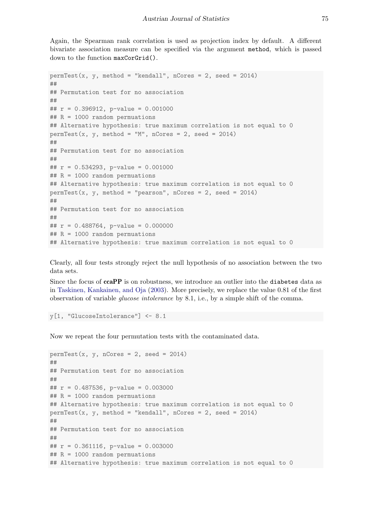Again, the Spearman rank correlation is used as projection index by default. A different bivariate association measure can be specified via the argument method, which is passed down to the function maxCorGrid().

```
permTest(x, y, method = "kendall", nCores = 2, seed = 2014)##
## Permutation test for no association
##
## r = 0.396912, p-value = 0.001000
## R = 1000 random permuations
## Alternative hypothesis: true maximum correlation is not equal to 0
permTest(x, y, method = "M", nCores = 2, seed = 2014)##
## Permutation test for no association
##
## r = 0.534293, p-value = 0.001000
## R = 1000 random permuations
## Alternative hypothesis: true maximum correlation is not equal to 0
permTest(x, y, method = "pearson", nCores = 2, seed = 2014)##
## Permutation test for no association
##
## r = 0.488764, p-value = 0.000000
## R = 1000 random permuations
## Alternative hypothesis: true maximum correlation is not equal to 0
```
Clearly, all four tests strongly reject the null hypothesis of no association between the two data sets.

Since the focus of **ccaPP** is on robustness, we introduce an outlier into the **diabetes** data as in [Taskinen, Kankainen, and Oja](#page-8-11) [\(2003\)](#page-8-11). More precisely, we replace the value 0.81 of the first observation of variable glucose intolerance by 8.1, i.e., by a simple shift of the comma.

y[1, "GlucoseIntolerance"] <- 8.1

Now we repeat the four permutation tests with the contaminated data.

```
permTest(x, y, nCores = 2, seed = 2014)##
## Permutation test for no association
##
## r = 0.487536, p-value = 0.003000
## R = 1000 random permuations
## Alternative hypothesis: true maximum correlation is not equal to 0
permTest(x, y, method = "kendall", nCores = 2, seed = 2014)##
## Permutation test for no association
##
## r = 0.361116, p-value = 0.003000
## R = 1000 random permuations
## Alternative hypothesis: true maximum correlation is not equal to 0
```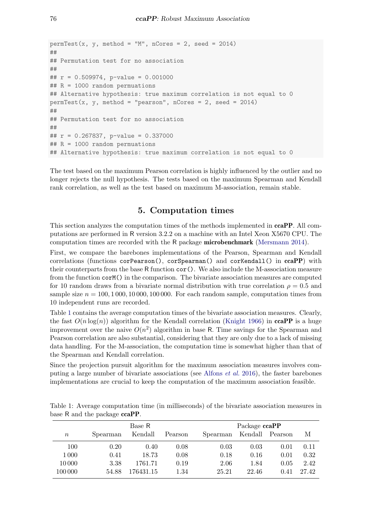```
permTest(x, y, method = "M", nCores = 2, seed = 2014)##
## Permutation test for no association
##
## r = 0.509974, p-value = 0.001000
## R = 1000 random permuations
## Alternative hypothesis: true maximum correlation is not equal to 0
permTest(x, y, method = "pearson", nCores = 2, seed = 2014)##
## Permutation test for no association
##
## r = 0.267837, p-value = 0.337000
## R = 1000 random permuations
## Alternative hypothesis: true maximum correlation is not equal to 0
```
The test based on the maximum Pearson correlation is highly influenced by the outlier and no longer rejects the null hypothesis. The tests based on the maximum Spearman and Kendall rank correlation, as well as the test based on maximum M-association, remain stable.

#### 5. Computation times

<span id="page-5-0"></span>This section analyzes the computation times of the methods implemented in **ccaPP**. All computations are performed in R version 3.2.2 on a machine with an Intel Xeon X5670 CPU. The computation times are recorded with the R package microbenchmark [\(Mersmann](#page-8-12) [2014\)](#page-8-12).

First, we compare the barebones implementations of the Pearson, Spearman and Kendall correlations (functions corPearson(), corSpearman() and corKendall() in ccaPP) with their counterparts from the base R function  $cor()$ . We also include the M-association measure from the function corM() in the comparison. The bivariate association measures are computed for 10 random draws from a bivariate normal distribution with true correlation  $\rho = 0.5$  and sample size  $n = 100, 1000, 10000, 100000$ . For each random sample, computation times from 10 independent runs are recorded.

Table [1](#page-5-1) contains the average computation times of the bivariate association measures. Clearly, the fast  $O(n \log(n))$  algorithm for the Kendall correlation [\(Knight](#page-8-9) [1966\)](#page-8-9) in **ccaPP** is a huge improvement over the naive  $O(n^2)$  algorithm in base R. Time savings for the Spearman and Pearson correlation are also substantial, considering that they are only due to a lack of missing data handling. For the M-association, the computation time is somewhat higher than that of the Spearman and Kendall correlation.

Since the projection pursuit algorithm for the maximum association measures involves computing a large number of bivariate associations (see [Alfons](#page-7-0) et al. [2016\)](#page-7-0), the faster barebones implementations are crucial to keep the computation of the maximum association feasible.

|         |          | Base R    |         | Package ccaPP |         |         |       |  |
|---------|----------|-----------|---------|---------------|---------|---------|-------|--|
| $\, n$  | Spearman | Kendall   | Pearson | Spearman      | Kendall | Pearson | М     |  |
| 100     | 0.20     | 0.40      | 0.08    | 0.03          | 0.03    | 0.01    | 0.11  |  |
| 1 0 0 0 | 0.41     | 18.73     | 0.08    | 0.18          | 0.16    | 0.01    | 0.32  |  |
| 10000   | 3.38     | 1761.71   | 0.19    | 2.06          | 1.84    | 0.05    | 2.42  |  |
| 100 000 | 54.88    | 176431.15 | 1.34    | 25.21         | 22.46   | 0.41    | 27.42 |  |

<span id="page-5-1"></span>Table 1: Average computation time (in milliseconds) of the bivariate association measures in base R and the package ccaPP.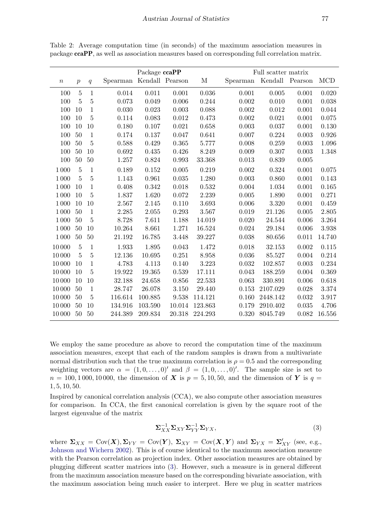|          |                  |                | Package ccaPP |                 |        |              | Full scatter matrix |          |             |            |
|----------|------------------|----------------|---------------|-----------------|--------|--------------|---------------------|----------|-------------|------------|
| $\it{n}$ | $\boldsymbol{p}$ | q              | Spearman      | Kendall Pearson |        | $\mathbf{M}$ | Spearman            | Kendall  | Pearson     | <b>MCD</b> |
| 100      | $\overline{5}$   | $\mathbf{1}$   | 0.014         | 0.011           | 0.001  | 0.036        | 0.001               | 0.005    | 0.001       | 0.020      |
| 100      | 5                | $\overline{5}$ | 0.073         | 0.049           | 0.006  | 0.244        | 0.002               | 0.010    | 0.001       | 0.038      |
| 100      | 10               | $\mathbf{1}$   | 0.030         | 0.023           | 0.003  | 0.088        | 0.002               | 0.012    | 0.001       | 0.044      |
| 100      | 10               | 5              | 0.114         | 0.083           | 0.012  | 0.473        | 0.002               | 0.021    | 0.001       | 0.075      |
| 100      | 10               | 10             | 0.180         | 0.107           | 0.021  | 0.658        | 0.003               | 0.037    | 0.001       | 0.130      |
| $100\,$  | 50               | $\mathbf{1}$   | 0.174         | 0.137           | 0.047  | 0.641        | 0.007               | 0.224    | 0.003       | 0.926      |
| 100      | 50               | $\overline{5}$ | 0.588         | 0.429           | 0.365  | 5.777        | 0.008               | 0.259    | 0.003       | 1.096      |
| 100      | 50               | 10             | 0.692         | 0.435           | 0.426  | 8.249        | 0.009               | 0.307    | 0.003       | 1.348      |
| $100\,$  | 50               | 50             | 1.257         | 0.824           | 0.993  | 33.368       | 0.013               | 0.839    | 0.005       |            |
| 1 0 0 0  | $\overline{5}$   | 1              | 0.189         | 0.152           | 0.005  | 0.219        | 0.002               | 0.324    | 0.001       | 0.075      |
| 1 0 0 0  | $\overline{5}$   | $\bf 5$        | 1.143         | 0.961           | 0.035  | 1.280        | 0.003               | 0.860    | 0.001       | 0.143      |
| 1000     | 10               | $\mathbf{1}$   | 0.408         | 0.342           | 0.018  | 0.532        | 0.004               | 1.034    | 0.001       | 0.165      |
| 1 0 0 0  | 10               | $\overline{5}$ | 1.837         | 1.620           | 0.072  | 2.239        | 0.005               | 1.890    | 0.001       | 0.271      |
| 1000     | 10               | 10             | 2.567         | 2.145           | 0.110  | 3.693        | 0.006               | 3.320    | 0.001       | 0.459      |
| 1000     | 50               | $\mathbf{1}$   | 2.285         | 2.055           | 0.293  | 3.567        | 0.019               | 21.126   | 0.005       | 2.805      |
| 1 0 0 0  | 50               | $\overline{5}$ | 8.728         | 7.611           | 1.188  | 14.019       | 0.020               | 24.544   | 0.006       | 3.264      |
| 1000     | 50               | 10             | 10.264        | 8.661           | 1.271  | 16.524       | 0.024               | 29.184   | 0.006       | 3.938      |
| 1000     | 50               | 50             | 21.192        | 16.785          | 3.448  | 39.227       | 0.038               | 80.656   | 0.011       | 14.740     |
| 10000    | $\overline{5}$   | $\mathbf{1}$   | 1.933         | 1.895           | 0.043  | 1.472        | 0.018               | 32.153   | 0.002       | 0.115      |
| 10000    | 5                | $\bf 5$        | 12.136        | 10.695          | 0.251  | 8.958        | 0.036               | 85.527   | 0.004       | 0.214      |
| 10000    | 10               | 1              | 4.783         | 4.113           | 0.140  | 3.223        | 0.032               | 102.857  | 0.003       | 0.234      |
| 10000    | 10               | $\overline{5}$ | 19.922        | 19.365          | 0.539  | 17.111       | 0.043               | 188.259  | 0.004       | 0.369      |
| 10000    | 10               | 10             | 32.188        | 24.658          | 0.856  | 22.533       | 0.063               | 330.891  | 0.006       | 0.618      |
| 10000    | 50               | $\mathbf{1}$   | 28.747        | 26.078          | 3.150  | 29.440       | 0.153               | 2107.029 | 0.028       | 3.374      |
| 10000    | 50               | $\bf 5$        | 116.614       | 100.885         | 9.538  | 114.121      | 0.160               | 2448.142 | 0.032       | 3.917      |
| 10000    | 50               | 10             | 134.916       | 103.590         | 10.014 | 123.863      | 0.179               | 2910.402 | 0.035       | 4.706      |
| 10 000   | 50               | 50             | 244.389       | 209.834         | 20.318 | 224.293      | 0.320               | 8045.749 | $\,0.082\,$ | 16.556     |

<span id="page-6-1"></span>Table 2: Average computation time (in seconds) of the maximum association measures in package ccaPP, as well as association measures based on corresponding full correlation matrix.

We employ the same procedure as above to record the computation time of the maximum association measures, except that each of the random samples is drawn from a multivariate normal distribution such that the true maximum correlation is  $\rho = 0.5$  and the corresponding weighting vectors are  $\alpha = (1, 0, \ldots, 0)$  and  $\beta = (1, 0, \ldots, 0)$ . The sample size is set to  $n = 100, 1000, 10000$ , the dimension of X is  $p = 5, 10, 50$ , and the dimension of Y is  $q =$ 1, 5, 10, 50.

Inspired by canonical correlation analysis (CCA), we also compute other association measures for comparison. In CCA, the first canonical correlation is given by the square root of the largest eigenvalue of the matrix

<span id="page-6-0"></span>
$$
\Sigma_{XX}^{-1} \Sigma_{XY} \Sigma_{YY}^{-1} \Sigma_{YX}, \tag{3}
$$

where  $\Sigma_{XX} = \text{Cov}(\boldsymbol{X}), \Sigma_{YY} = \text{Cov}(\boldsymbol{Y}), \ \Sigma_{XY} = \text{Cov}(\boldsymbol{X}, \boldsymbol{Y})$  and  $\Sigma_{YX} = \Sigma'_{XY}$  (see, e.g., [Johnson and Wichern](#page-8-1) [2002\)](#page-8-1). This is of course identical to the maximum association measure with the Pearson correlation as projection index. Other association measures are obtained by plugging different scatter matrices into [\(3\)](#page-6-0). However, such a measure is in general different from the maximum association measure based on the corresponding bivariate association, with the maximum association being much easier to interpret. Here we plug in scatter matrices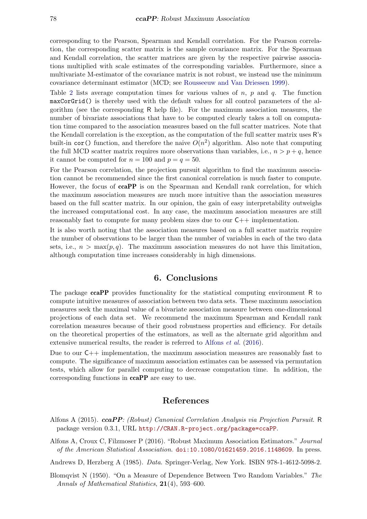corresponding to the Pearson, Spearman and Kendall correlation. For the Pearson correlation, the corresponding scatter matrix is the sample covariance matrix. For the Spearman and Kendall correlation, the scatter matrices are given by the respective pairwise associations multiplied with scale estimates of the corresponding variables. Furthermore, since a multivariate M-estimator of the covariance matrix is not robust, we instead use the minimum covariance determinant estimator (MCD; see [Rousseeuw and Van Driessen](#page-8-13) [1999\)](#page-8-13).

Table [2](#page-6-1) lists average computation times for various values of  $n, p$  and  $q$ . The function maxCorGrid() is thereby used with the default values for all control parameters of the algorithm (see the corresponding R help file). For the maximum association measures, the number of bivariate associations that have to be computed clearly takes a toll on computation time compared to the association measures based on the full scatter matrices. Note that the Kendall correlation is the exception, as the computation of the full scatter matrix uses R's built-in cor() function, and therefore the naive  $O(n^2)$  algorithm. Also note that computing the full MCD scatter matrix requires more observations than variables, i.e.,  $n > p + q$ , hence it cannot be computed for  $n = 100$  and  $p = q = 50$ .

For the Pearson correlation, the projection pursuit algorithm to find the maximum association cannot be recommended since the first canonical correlation is much faster to compute. However, the focus of **ccaPP** is on the Spearman and Kendall rank correlation, for which the maximum association measures are much more intuitive than the association measures based on the full scatter matrix. In our opinion, the gain of easy interpretability outweighs the increased computational cost. In any case, the maximum association measures are still reasonably fast to compute for many problem sizes due to our C++ implementation.

It is also worth noting that the association measures based on a full scatter matrix require the number of observations to be larger than the number of variables in each of the two data sets, i.e.,  $n > \max(p, q)$ . The maximum association measures do not have this limitation, although computation time increases considerably in high dimensions.

## 6. Conclusions

<span id="page-7-2"></span>The package **ccaPP** provides functionality for the statistical computing environment R to compute intuitive measures of association between two data sets. These maximum association measures seek the maximal value of a bivariate association measure between one-dimensional projections of each data set. We recommend the maximum Spearman and Kendall rank correlation measures because of their good robustness properties and efficiency. For details on the theoretical properties of the estimators, as well as the alternate grid algorithm and extensive numerical results, the reader is referred to [Alfons](#page-7-0) *et al.* [\(2016\)](#page-7-0).

Due to our  $C_{++}$  implementation, the maximum association measures are reasonably fast to compute. The significance of maximum association estimates can be assessed via permutation tests, which allow for parallel computing to decrease computation time. In addition, the corresponding functions in ccaPP are easy to use.

#### References

- <span id="page-7-1"></span>Alfons A (2015). ccaPP: (Robust) Canonical Correlation Analysis via Projection Pursuit. R package version 0.3.1, URL <http://CRAN.R-project.org/package=ccaPP>.
- <span id="page-7-0"></span>Alfons A, Croux C, Filzmoser P (2016). "Robust Maximum Association Estimators." Journal of the American Statistical Association. [doi:10.1080/01621459.2016.1148609](http://dx.doi.org/10.1080/01621459.2016.1148609). In press.

<span id="page-7-4"></span>Andrews D, Herzberg A (1985). Data. Springer-Verlag, New York. ISBN 978-1-4612-5098-2.

<span id="page-7-3"></span>Blomqvist N (1950). "On a Measure of Dependence Between Two Random Variables." The Annals of Mathematical Statistics, 21(4), 593–600.